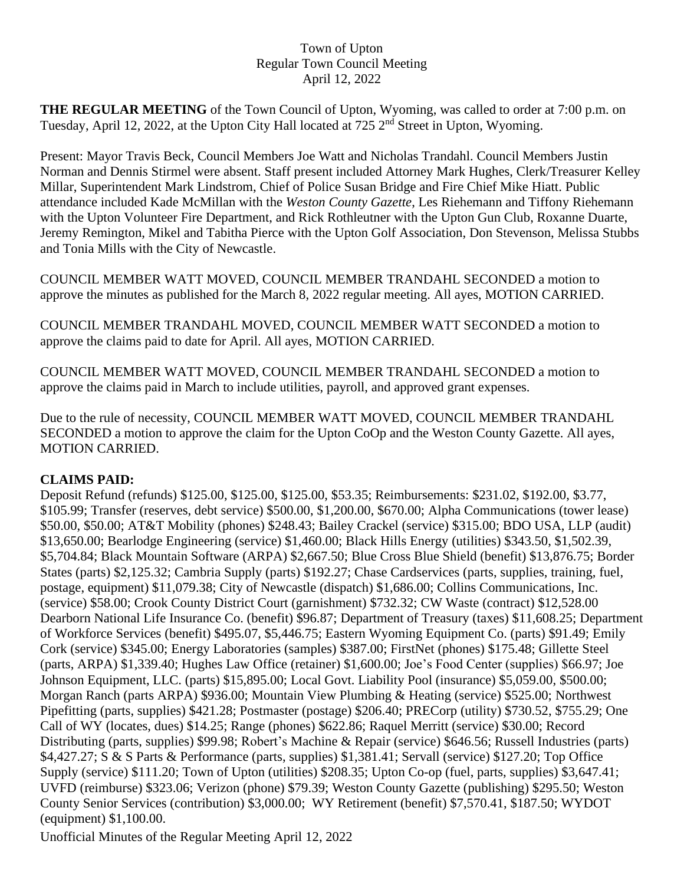## Town of Upton Regular Town Council Meeting April 12, 2022

**THE REGULAR MEETING** of the Town Council of Upton, Wyoming, was called to order at 7:00 p.m. on Tuesday, April 12, 2022, at the Upton City Hall located at 725 2<sup>nd</sup> Street in Upton, Wyoming.

Present: Mayor Travis Beck, Council Members Joe Watt and Nicholas Trandahl. Council Members Justin Norman and Dennis Stirmel were absent. Staff present included Attorney Mark Hughes, Clerk/Treasurer Kelley Millar, Superintendent Mark Lindstrom, Chief of Police Susan Bridge and Fire Chief Mike Hiatt. Public attendance included Kade McMillan with the *Weston County Gazette*, Les Riehemann and Tiffony Riehemann with the Upton Volunteer Fire Department, and Rick Rothleutner with the Upton Gun Club, Roxanne Duarte, Jeremy Remington, Mikel and Tabitha Pierce with the Upton Golf Association, Don Stevenson, Melissa Stubbs and Tonia Mills with the City of Newcastle.

COUNCIL MEMBER WATT MOVED, COUNCIL MEMBER TRANDAHL SECONDED a motion to approve the minutes as published for the March 8, 2022 regular meeting. All ayes, MOTION CARRIED.

COUNCIL MEMBER TRANDAHL MOVED, COUNCIL MEMBER WATT SECONDED a motion to approve the claims paid to date for April. All ayes, MOTION CARRIED.

COUNCIL MEMBER WATT MOVED, COUNCIL MEMBER TRANDAHL SECONDED a motion to approve the claims paid in March to include utilities, payroll, and approved grant expenses.

Due to the rule of necessity, COUNCIL MEMBER WATT MOVED, COUNCIL MEMBER TRANDAHL SECONDED a motion to approve the claim for the Upton CoOp and the Weston County Gazette. All ayes, MOTION CARRIED.

## **CLAIMS PAID:**

Deposit Refund (refunds) \$125.00, \$125.00, \$125.00, \$53.35; Reimbursements: \$231.02, \$192.00, \$3.77, \$105.99; Transfer (reserves, debt service) \$500.00, \$1,200.00, \$670.00; Alpha Communications (tower lease) \$50.00, \$50.00; AT&T Mobility (phones) \$248.43; Bailey Crackel (service) \$315.00; BDO USA, LLP (audit) \$13,650.00; Bearlodge Engineering (service) \$1,460.00; Black Hills Energy (utilities) \$343.50, \$1,502.39, \$5,704.84; Black Mountain Software (ARPA) \$2,667.50; Blue Cross Blue Shield (benefit) \$13,876.75; Border States (parts) \$2,125.32; Cambria Supply (parts) \$192.27; Chase Cardservices (parts, supplies, training, fuel, postage, equipment) \$11,079.38; City of Newcastle (dispatch) \$1,686.00; Collins Communications, Inc. (service) \$58.00; Crook County District Court (garnishment) \$732.32; CW Waste (contract) \$12,528.00 Dearborn National Life Insurance Co. (benefit) \$96.87; Department of Treasury (taxes) \$11,608.25; Department of Workforce Services (benefit) \$495.07, \$5,446.75; Eastern Wyoming Equipment Co. (parts) \$91.49; Emily Cork (service) \$345.00; Energy Laboratories (samples) \$387.00; FirstNet (phones) \$175.48; Gillette Steel (parts, ARPA) \$1,339.40; Hughes Law Office (retainer) \$1,600.00; Joe's Food Center (supplies) \$66.97; Joe Johnson Equipment, LLC. (parts) \$15,895.00; Local Govt. Liability Pool (insurance) \$5,059.00, \$500.00; Morgan Ranch (parts ARPA) \$936.00; Mountain View Plumbing & Heating (service) \$525.00; Northwest Pipefitting (parts, supplies) \$421.28; Postmaster (postage) \$206.40; PRECorp (utility) \$730.52, \$755.29; One Call of WY (locates, dues) \$14.25; Range (phones) \$622.86; Raquel Merritt (service) \$30.00; Record Distributing (parts, supplies) \$99.98; Robert's Machine & Repair (service) \$646.56; Russell Industries (parts) \$4,427.27; S & S Parts & Performance (parts, supplies) \$1,381.41; Servall (service) \$127.20; Top Office Supply (service) \$111.20; Town of Upton (utilities) \$208.35; Upton Co-op (fuel, parts, supplies) \$3,647.41; UVFD (reimburse) \$323.06; Verizon (phone) \$79.39; Weston County Gazette (publishing) \$295.50; Weston County Senior Services (contribution) \$3,000.00; WY Retirement (benefit) \$7,570.41, \$187.50; WYDOT (equipment) \$1,100.00.

Unofficial Minutes of the Regular Meeting April 12, 2022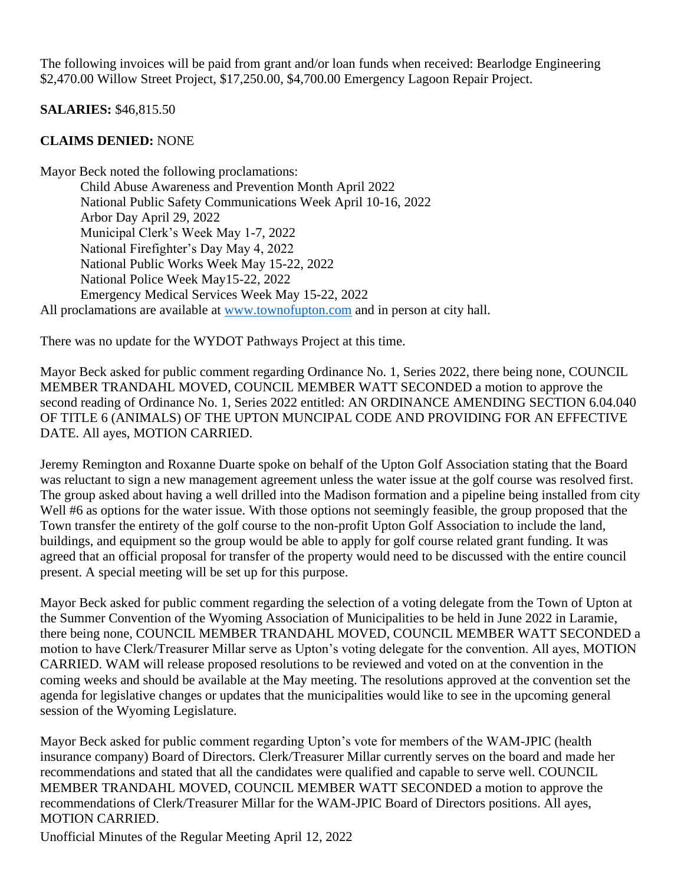The following invoices will be paid from grant and/or loan funds when received: Bearlodge Engineering \$2,470.00 Willow Street Project, \$17,250.00, \$4,700.00 Emergency Lagoon Repair Project.

**SALARIES:** \$46,815.50

## **CLAIMS DENIED:** NONE

Mayor Beck noted the following proclamations: Child Abuse Awareness and Prevention Month April 2022 National Public Safety Communications Week April 10-16, 2022 Arbor Day April 29, 2022 Municipal Clerk's Week May 1-7, 2022 National Firefighter's Day May 4, 2022 National Public Works Week May 15-22, 2022 National Police Week May15-22, 2022 Emergency Medical Services Week May 15-22, 2022 All proclamations are available at [www.townofupton.com](http://www.townofupton.com/) and in person at city hall.

There was no update for the WYDOT Pathways Project at this time.

Mayor Beck asked for public comment regarding Ordinance No. 1, Series 2022, there being none, COUNCIL MEMBER TRANDAHL MOVED, COUNCIL MEMBER WATT SECONDED a motion to approve the second reading of Ordinance No. 1, Series 2022 entitled: AN ORDINANCE AMENDING SECTION 6.04.040 OF TITLE 6 (ANIMALS) OF THE UPTON MUNCIPAL CODE AND PROVIDING FOR AN EFFECTIVE DATE. All ayes, MOTION CARRIED.

Jeremy Remington and Roxanne Duarte spoke on behalf of the Upton Golf Association stating that the Board was reluctant to sign a new management agreement unless the water issue at the golf course was resolved first. The group asked about having a well drilled into the Madison formation and a pipeline being installed from city Well #6 as options for the water issue. With those options not seemingly feasible, the group proposed that the Town transfer the entirety of the golf course to the non-profit Upton Golf Association to include the land, buildings, and equipment so the group would be able to apply for golf course related grant funding. It was agreed that an official proposal for transfer of the property would need to be discussed with the entire council present. A special meeting will be set up for this purpose.

Mayor Beck asked for public comment regarding the selection of a voting delegate from the Town of Upton at the Summer Convention of the Wyoming Association of Municipalities to be held in June 2022 in Laramie, there being none, COUNCIL MEMBER TRANDAHL MOVED, COUNCIL MEMBER WATT SECONDED a motion to have Clerk/Treasurer Millar serve as Upton's voting delegate for the convention. All ayes, MOTION CARRIED. WAM will release proposed resolutions to be reviewed and voted on at the convention in the coming weeks and should be available at the May meeting. The resolutions approved at the convention set the agenda for legislative changes or updates that the municipalities would like to see in the upcoming general session of the Wyoming Legislature.

Mayor Beck asked for public comment regarding Upton's vote for members of the WAM-JPIC (health insurance company) Board of Directors. Clerk/Treasurer Millar currently serves on the board and made her recommendations and stated that all the candidates were qualified and capable to serve well. COUNCIL MEMBER TRANDAHL MOVED, COUNCIL MEMBER WATT SECONDED a motion to approve the recommendations of Clerk/Treasurer Millar for the WAM-JPIC Board of Directors positions. All ayes, MOTION CARRIED.

Unofficial Minutes of the Regular Meeting April 12, 2022